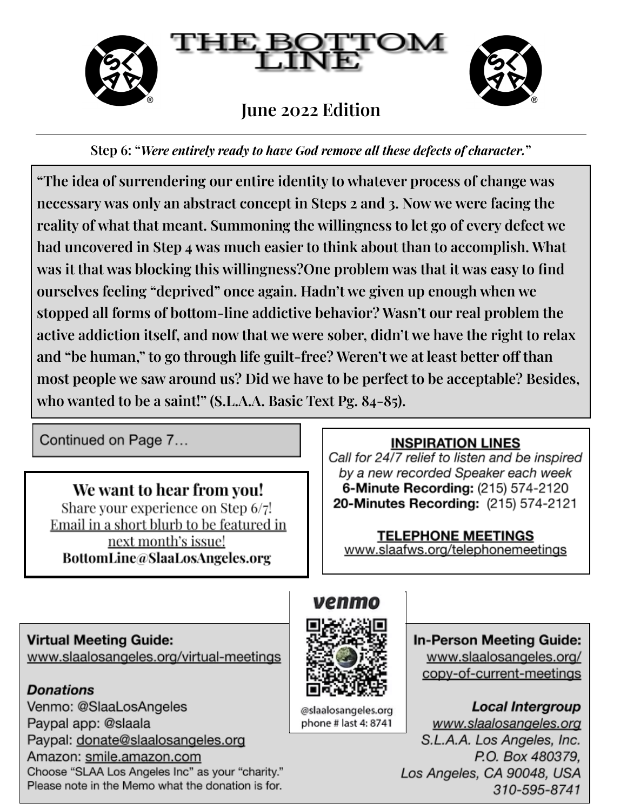

**June 2022 Edition**

**Step 6: "***Were entirely ready to have God remove all these defects of character.***"**

**"The idea of surrendering our entire identity to whatever process of change was necessary was only an abstract concept in Steps 2 and 3. Now we were facing the reality of what that meant. Summoning the willingness to let go of every defect we had uncovered in Step 4 was much easier to think about than to accomplish. What was it that was blocking this willingness?One problem was that it was easy to find ourselves feeling "deprived" once again. Hadn't we given up enough when we stopped all forms of bottom-line addictive behavior? Wasn't our real problem the active addiction itself, and now that we were sober, didn't we have the right to relax and "be human," to go through life guilt-free? Weren't we at least better o than most people we saw around us? Did we have to be perfect to be acceptable? Besides, who wanted to be a saint!" (S.L.A.A. Basic Text Pg. 84-85).**

Continued on Page 7...

We want to hear from you! Share your experience on Step 6/7! Email in a short blurb to be featured in next month's issue! BottomLine@SlaaLosAngeles.org

## **INSPIRATION LINES**

Call for 24/7 relief to listen and be inspired by a new recorded Speaker each week 6-Minute Recording: (215) 574-2120 20-Minutes Recording: (215) 574-2121

**TELEPHONE MEETINGS** 

www.slaafws.org/telephonemeetings

## **Virtual Meeting Guide:**

www.slaalosangeles.org/virtual-meetings

## **Donations**

Venmo: @SlaaLosAngeles Paypal app: @slaala Paypal: donate@slaalosangeles.org Amazon: smile.amazon.com Choose "SLAA Los Angeles Inc" as your "charity." Please note in the Memo what the donation is for.





@slaalosangeles.org phone # last 4: 8741 **In-Person Meeting Guide:** www.slaalosangeles.org/ copy-of-current-meetings

# Local Intergroup

www.slaalosangeles.org S.L.A.A. Los Angeles, Inc. P.O. Box 480379, Los Angeles, CA 90048, USA 310-595-8741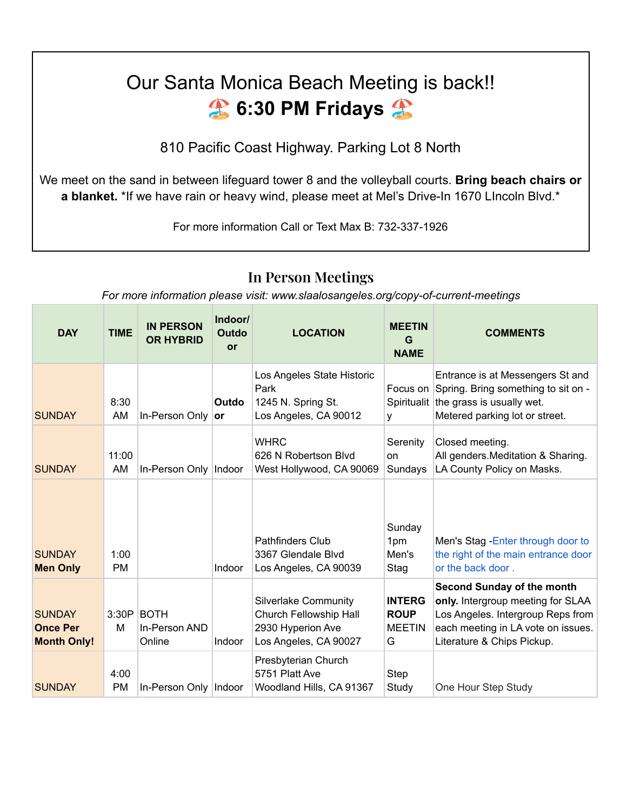# Our Santa Monica Beach Meeting is back!! **6:30 PM Fridays**

810 Pacific Coast Highway. Parking Lot 8 North

We meet on the sand in between lifeguard tower 8 and the volleyball courts. **Bring beach chairs or** a blanket. \*If we have rain or heavy wind, please meet at Mel's Drive-In 1670 LIncoln Blvd.\*

For more information Call or Text Max B: 732-337-1926

### **In Person Meetings**

*For more information please visit: www.slaalosangeles.org/copy-of-current-meetings*

| <b>DAY</b>                                             | <b>TIME</b>       | <b>IN PERSON</b><br><b>OR HYBRID</b>  | Indoor/<br><b>Outdo</b><br><b>or</b> | <b>LOCATION</b>                                                                                     | <b>MEETIN</b><br>G<br><b>NAME</b>                  | <b>COMMENTS</b>                                                                                                                                                          |
|--------------------------------------------------------|-------------------|---------------------------------------|--------------------------------------|-----------------------------------------------------------------------------------------------------|----------------------------------------------------|--------------------------------------------------------------------------------------------------------------------------------------------------------------------------|
| <b>SUNDAY</b>                                          | 8:30<br>AM        | In-Person Only $ or$                  | <b>Outdo</b>                         | Los Angeles State Historic<br>Park<br>1245 N. Spring St.<br>Los Angeles, CA 90012                   | y                                                  | Entrance is at Messengers St and<br>Focus on Spring. Bring something to sit on -<br>Spiritualit the grass is usually wet.<br>Metered parking lot or street.              |
| <b>SUNDAY</b>                                          | 11:00<br>AM       | In-Person Only Indoor                 |                                      | <b>WHRC</b><br>626 N Robertson Blvd<br>West Hollywood, CA 90069                                     | Serenity<br>on<br>Sundays                          | Closed meeting.<br>All genders. Meditation & Sharing.<br>LA County Policy on Masks.                                                                                      |
| <b>SUNDAY</b><br><b>Men Only</b>                       | 1:00<br><b>PM</b> |                                       | Indoor                               | <b>Pathfinders Club</b><br>3367 Glendale Blvd<br>Los Angeles, CA 90039                              | Sunday<br>1pm<br>Men's<br>Stag                     | Men's Stag - Enter through door to<br>the right of the main entrance door<br>or the back door.                                                                           |
| <b>SUNDAY</b><br><b>Once Per</b><br><b>Month Only!</b> | м                 | 3:30P BOTH<br>In-Person AND<br>Online | Indoor                               | <b>Silverlake Community</b><br>Church Fellowship Hall<br>2930 Hyperion Ave<br>Los Angeles, CA 90027 | <b>INTERG</b><br><b>ROUP</b><br><b>MEETIN</b><br>G | Second Sunday of the month<br>only. Intergroup meeting for SLAA<br>Los Angeles. Intergroup Reps from<br>each meeting in LA vote on issues.<br>Literature & Chips Pickup. |
| <b>SUNDAY</b>                                          | 4:00<br><b>PM</b> | In-Person Only   Indoor               |                                      | Presbyterian Church<br>5751 Platt Ave<br>Woodland Hills, CA 91367                                   | Step<br>Study                                      | One Hour Step Study                                                                                                                                                      |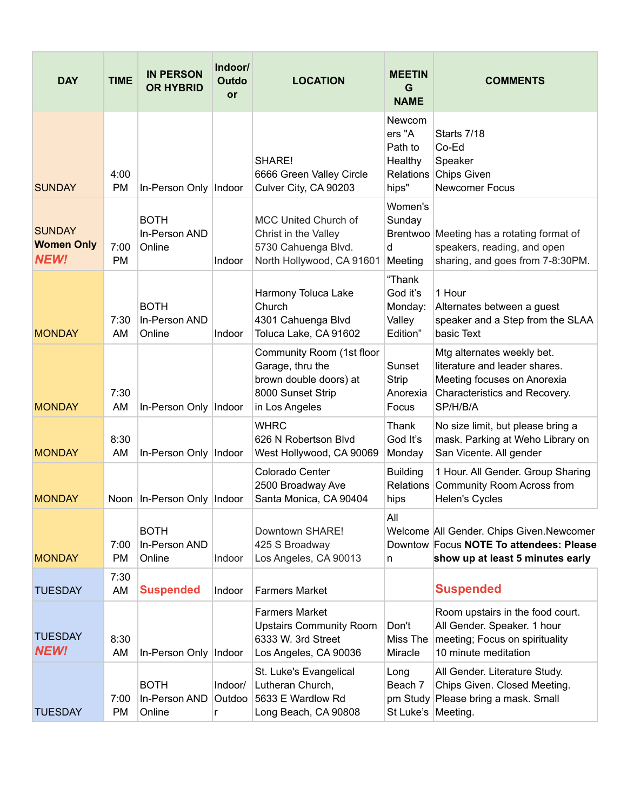| <b>DAY</b>                                        | <b>TIME</b>       | <b>IN PERSON</b><br><b>OR HYBRID</b>   | Indoor/<br><b>Outdo</b><br>or | <b>LOCATION</b>                                                                                                | <b>MEETIN</b><br>G<br><b>NAME</b>                   | <b>COMMENTS</b>                                                                                                                         |
|---------------------------------------------------|-------------------|----------------------------------------|-------------------------------|----------------------------------------------------------------------------------------------------------------|-----------------------------------------------------|-----------------------------------------------------------------------------------------------------------------------------------------|
| <b>SUNDAY</b>                                     | 4:00<br><b>PM</b> | In-Person Only Indoor                  |                               | SHARE!<br>6666 Green Valley Circle<br>Culver City, CA 90203                                                    | Newcom<br>ers "A<br>Path to<br>Healthy<br>hips"     | Starts 7/18<br>Co-Ed<br>Speaker<br>Relations Chips Given<br><b>Newcomer Focus</b>                                                       |
| <b>SUNDAY</b><br><b>Women Only</b><br><b>NEW!</b> | 7:00<br><b>PM</b> | <b>BOTH</b><br>In-Person AND<br>Online | Indoor                        | MCC United Church of<br>Christ in the Valley<br>5730 Cahuenga Blvd.<br>North Hollywood, CA 91601               | Women's<br>Sunday<br>d<br>Meeting                   | Brentwoo Meeting has a rotating format of<br>speakers, reading, and open<br>sharing, and goes from 7-8:30PM.                            |
| <b>MONDAY</b>                                     | 7:30<br>AM        | <b>BOTH</b><br>In-Person AND<br>Online | Indoor                        | Harmony Toluca Lake<br>Church<br>4301 Cahuenga Blvd<br>Toluca Lake, CA 91602                                   | "Thank<br>God it's<br>Monday:<br>Valley<br>Edition" | 1 Hour<br>Alternates between a guest<br>speaker and a Step from the SLAA<br>basic Text                                                  |
| <b>MONDAY</b>                                     | 7:30<br>AM        | In-Person Only   Indoor                |                               | Community Room (1st floor<br>Garage, thru the<br>brown double doors) at<br>8000 Sunset Strip<br>in Los Angeles | Sunset<br><b>Strip</b><br>Anorexia<br>Focus         | Mtg alternates weekly bet.<br>literature and leader shares.<br>Meeting focuses on Anorexia<br>Characteristics and Recovery.<br>SP/H/B/A |
| <b>MONDAY</b>                                     | 8:30<br>AM        | In-Person Only Indoor                  |                               | <b>WHRC</b><br>626 N Robertson Blvd<br>West Hollywood, CA 90069                                                | Thank<br>God It's<br>Monday                         | No size limit, but please bring a<br>mask. Parking at Weho Library on<br>San Vicente. All gender                                        |
| <b>MONDAY</b>                                     |                   | Noon In-Person Only Indoor             |                               | Colorado Center<br>2500 Broadway Ave<br>Santa Monica, CA 90404                                                 | <b>Building</b><br>Relations<br>hips                | 1 Hour. All Gender. Group Sharing<br>Community Room Across from<br>Helen's Cycles                                                       |
| <b>MONDAY</b>                                     | 7:00<br><b>PM</b> | <b>BOTH</b><br>In-Person AND<br>Online | Indoor                        | Downtown SHARE!<br>425 S Broadway<br>Los Angeles, CA 90013                                                     | All<br>n                                            | Welcome All Gender. Chips Given. Newcomer<br>Downtow Focus NOTE To attendees: Please<br>show up at least 5 minutes early                |
| <b>TUESDAY</b>                                    | 7:30<br>AM        | <b>Suspended</b>                       | Indoor                        | <b>Farmers Market</b>                                                                                          |                                                     | <b>Suspended</b>                                                                                                                        |
| <b>TUESDAY</b><br><b>NEW!</b>                     | 8:30<br>AM        | In-Person Only   Indoor                |                               | <b>Farmers Market</b><br><b>Upstairs Community Room</b><br>6333 W. 3rd Street<br>Los Angeles, CA 90036         | Don't<br>Miss The<br>Miracle                        | Room upstairs in the food court.<br>All Gender. Speaker. 1 hour<br>meeting; Focus on spirituality<br>10 minute meditation               |
| <b>TUESDAY</b>                                    | 7:00<br>PM        | <b>BOTH</b><br>In-Person AND<br>Online | Indoor/<br>Outdoo<br>r        | St. Luke's Evangelical<br>Lutheran Church,<br>5633 E Wardlow Rd<br>Long Beach, CA 90808                        | Long<br>Beach 7<br>pm Study<br>St Luke's   Meeting. | All Gender. Literature Study.<br>Chips Given. Closed Meeting.<br>Please bring a mask. Small                                             |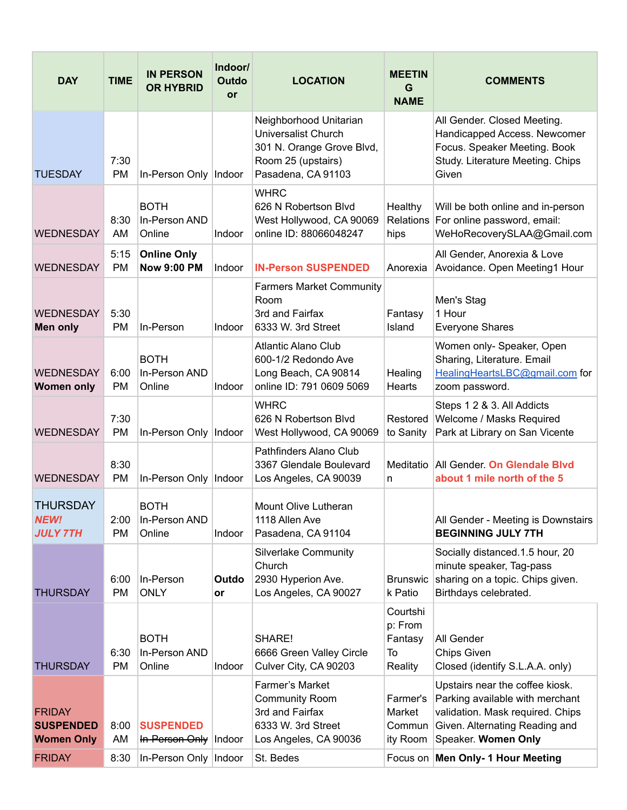| <b>DAY</b>                                             | <b>TIME</b>       | <b>IN PERSON</b><br><b>OR HYBRID</b>        | Indoor/<br>Outdo<br><b>or</b> | <b>LOCATION</b>                                                                                                               | <b>MEETIN</b><br>G<br><b>NAME</b>               | <b>COMMENTS</b>                                                                                                                                                 |
|--------------------------------------------------------|-------------------|---------------------------------------------|-------------------------------|-------------------------------------------------------------------------------------------------------------------------------|-------------------------------------------------|-----------------------------------------------------------------------------------------------------------------------------------------------------------------|
| <b>TUESDAY</b>                                         | 7:30<br><b>PM</b> | In-Person Only   Indoor                     |                               | Neighborhood Unitarian<br><b>Universalist Church</b><br>301 N. Orange Grove Blvd,<br>Room 25 (upstairs)<br>Pasadena, CA 91103 |                                                 | All Gender. Closed Meeting.<br>Handicapped Access. Newcomer<br>Focus. Speaker Meeting. Book<br>Study. Literature Meeting. Chips<br>Given                        |
| <b>WEDNESDAY</b>                                       | 8:30<br>AM        | <b>BOTH</b><br>In-Person AND<br>Online      | Indoor                        | <b>WHRC</b><br>626 N Robertson Blvd<br>West Hollywood, CA 90069<br>online ID: 88066048247                                     | Healthy<br>Relations<br>hips                    | Will be both online and in-person<br>For online password, email:<br>WeHoRecoverySLAA@Gmail.com                                                                  |
| <b>WEDNESDAY</b>                                       | 5:15<br><b>PM</b> | <b>Online Only</b><br><b>Now 9:00 PM</b>    | Indoor                        | <b>IN-Person SUSPENDED</b>                                                                                                    | Anorexia                                        | All Gender, Anorexia & Love<br>Avoidance. Open Meeting1 Hour                                                                                                    |
| <b>WEDNESDAY</b><br><b>Men only</b>                    | 5:30<br><b>PM</b> | In-Person                                   | Indoor                        | <b>Farmers Market Community</b><br>Room<br>3rd and Fairfax<br>6333 W. 3rd Street                                              | Fantasy<br>Island                               | Men's Stag<br>1 Hour<br><b>Everyone Shares</b>                                                                                                                  |
| <b>WEDNESDAY</b><br><b>Women only</b>                  | 6:00<br><b>PM</b> | <b>BOTH</b><br>In-Person AND<br>Online      | Indoor                        | <b>Atlantic Alano Club</b><br>600-1/2 Redondo Ave<br>Long Beach, CA 90814<br>online ID: 791 0609 5069                         | Healing<br>Hearts                               | Women only- Speaker, Open<br>Sharing, Literature. Email<br>HealingHeartsLBC@gmail.com for<br>zoom password.                                                     |
| <b>WEDNESDAY</b>                                       | 7:30<br><b>PM</b> | In-Person Only                              | Indoor                        | <b>WHRC</b><br>626 N Robertson Blvd<br>West Hollywood, CA 90069                                                               | Restored<br>to Sanity                           | Steps 1 2 & 3. All Addicts<br>Welcome / Masks Required<br>Park at Library on San Vicente                                                                        |
| <b>WEDNESDAY</b>                                       | 8:30<br><b>PM</b> | In-Person Only                              | Indoor                        | Pathfinders Alano Club<br>3367 Glendale Boulevard<br>Los Angeles, CA 90039                                                    | n                                               | Meditatio   All Gender. On Glendale Blvd<br>about 1 mile north of the 5                                                                                         |
| THURSDAY<br><b>NEW!</b><br><b>JULY 7TH</b>             | 2:00<br>PM        | <b>BOTH</b><br>In-Person AND<br>Online      | Indoor                        | Mount Olive Lutheran<br>1118 Allen Ave<br>Pasadena, CA 91104                                                                  |                                                 | All Gender - Meeting is Downstairs<br><b>BEGINNING JULY 7TH</b>                                                                                                 |
| <b>THURSDAY</b>                                        | 6:00<br><b>PM</b> | In-Person<br><b>ONLY</b>                    | Outdo<br>or                   | Silverlake Community<br>Church<br>2930 Hyperion Ave.<br>Los Angeles, CA 90027                                                 | <b>Brunswic</b><br>k Patio                      | Socially distanced.1.5 hour, 20<br>minute speaker, Tag-pass<br>sharing on a topic. Chips given.<br>Birthdays celebrated.                                        |
| <b>THURSDAY</b>                                        | 6:30<br><b>PM</b> | <b>BOTH</b><br>In-Person AND<br>Online      | Indoor                        | SHARE!<br>6666 Green Valley Circle<br>Culver City, CA 90203                                                                   | Courtshi<br>p: From<br>Fantasy<br>To<br>Reality | All Gender<br>Chips Given<br>Closed (identify S.L.A.A. only)                                                                                                    |
| <b>FRIDAY</b><br><b>SUSPENDED</b><br><b>Women Only</b> | 8:00<br>AM        | <b>SUSPENDED</b><br>In Person Only   Indoor |                               | Farmer's Market<br><b>Community Room</b><br>3rd and Fairfax<br>6333 W. 3rd Street<br>Los Angeles, CA 90036                    | Farmer's<br>Market<br>Commun<br>ity Room        | Upstairs near the coffee kiosk.<br>Parking available with merchant<br>validation. Mask required. Chips<br>Given. Alternating Reading and<br>Speaker. Women Only |
| <b>FRIDAY</b>                                          | 8:30              | In-Person Only   Indoor                     |                               | St. Bedes                                                                                                                     |                                                 | Focus on   Men Only- 1 Hour Meeting                                                                                                                             |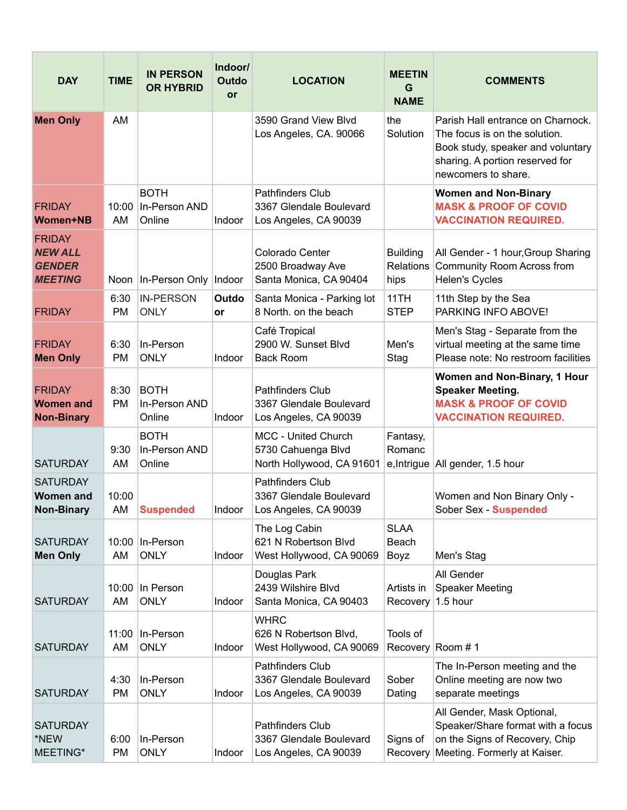| <b>DAY</b>                                                         | <b>TIME</b>       | <b>IN PERSON</b><br><b>OR HYBRID</b>         | Indoor/<br><b>Outdo</b><br><b>or</b> | <b>LOCATION</b>                                                             | <b>MEETIN</b><br>G<br><b>NAME</b> | <b>COMMENTS</b>                                                                                                                                                   |
|--------------------------------------------------------------------|-------------------|----------------------------------------------|--------------------------------------|-----------------------------------------------------------------------------|-----------------------------------|-------------------------------------------------------------------------------------------------------------------------------------------------------------------|
| <b>Men Only</b>                                                    | AM                |                                              |                                      | 3590 Grand View Blvd<br>Los Angeles, CA. 90066                              | the<br>Solution                   | Parish Hall entrance on Charnock.<br>The focus is on the solution.<br>Book study, speaker and voluntary<br>sharing. A portion reserved for<br>newcomers to share. |
| <b>FRIDAY</b><br><b>Women+NB</b>                                   | AM                | <b>BOTH</b><br>10:00 In-Person AND<br>Online | Indoor                               | Pathfinders Club<br>3367 Glendale Boulevard<br>Los Angeles, CA 90039        |                                   | <b>Women and Non-Binary</b><br><b>MASK &amp; PROOF OF COVID</b><br><b>VACCINATION REQUIRED.</b>                                                                   |
| <b>FRIDAY</b><br><b>NEW ALL</b><br><b>GENDER</b><br><b>MEETING</b> |                   | Noon   In-Person Only   Indoor               |                                      | Colorado Center<br>2500 Broadway Ave<br>Santa Monica, CA 90404              | <b>Building</b><br>hips           | All Gender - 1 hour, Group Sharing<br>Relations Community Room Across from<br>Helen's Cycles                                                                      |
| <b>FRIDAY</b>                                                      | 6:30<br><b>PM</b> | <b>IN-PERSON</b><br><b>ONLY</b>              | <b>Outdo</b><br>or                   | Santa Monica - Parking lot<br>8 North. on the beach                         | 11TH<br><b>STEP</b>               | 11th Step by the Sea<br>PARKING INFO ABOVE!                                                                                                                       |
| <b>FRIDAY</b><br><b>Men Only</b>                                   | 6:30<br><b>PM</b> | In-Person<br><b>ONLY</b>                     | Indoor                               | Café Tropical<br>2900 W. Sunset Blvd<br><b>Back Room</b>                    | Men's<br>Stag                     | Men's Stag - Separate from the<br>virtual meeting at the same time<br>Please note: No restroom facilities                                                         |
| <b>FRIDAY</b><br><b>Women and</b><br><b>Non-Binary</b>             | 8:30<br><b>PM</b> | <b>BOTH</b><br>In-Person AND<br>Online       | Indoor                               | Pathfinders Club<br>3367 Glendale Boulevard<br>Los Angeles, CA 90039        |                                   | Women and Non-Binary, 1 Hour<br><b>Speaker Meeting.</b><br><b>MASK &amp; PROOF OF COVID</b><br><b>VACCINATION REQUIRED.</b>                                       |
| <b>SATURDAY</b>                                                    | 9:30<br>AM        | <b>BOTH</b><br>In-Person AND<br>Online       |                                      | MCC - United Church<br>5730 Cahuenga Blvd<br>North Hollywood, CA 91601      | Fantasy,<br>Romanc                | e, Intrigue   All gender, 1.5 hour                                                                                                                                |
| <b>SATURDAY</b><br><b>Women and</b><br><b>Non-Binary</b>           | 10:00<br>AM       | <b>Suspended</b>                             | Indoor                               | <b>Pathfinders Club</b><br>3367 Glendale Boulevard<br>Los Angeles, CA 90039 |                                   | Women and Non Binary Only -<br>Sober Sex - Suspended                                                                                                              |
| <b>SATURDAY</b><br><b>Men Only</b>                                 | <b>AM</b>         | 10:00 In-Person<br><b>ONLY</b>               | Indoor                               | The Log Cabin<br>621 N Robertson Blvd<br>West Hollywood, CA 90069           | <b>SLAA</b><br>Beach<br>Boyz      | Men's Stag                                                                                                                                                        |
| <b>SATURDAY</b>                                                    | AM                | 10:00 In Person<br><b>ONLY</b>               | Indoor                               | Douglas Park<br>2439 Wilshire Blvd<br>Santa Monica, CA 90403                | Artists in<br>Recovery            | All Gender<br><b>Speaker Meeting</b><br>1.5 hour                                                                                                                  |
| <b>SATURDAY</b>                                                    | <b>AM</b>         | 11:00 In-Person<br><b>ONLY</b>               | Indoor                               | <b>WHRC</b><br>626 N Robertson Blvd,<br>West Hollywood, CA 90069            | Tools of<br>Recovery              | Room #1                                                                                                                                                           |
| <b>SATURDAY</b>                                                    | 4:30<br><b>PM</b> | In-Person<br><b>ONLY</b>                     | Indoor                               | Pathfinders Club<br>3367 Glendale Boulevard<br>Los Angeles, CA 90039        | Sober<br>Dating                   | The In-Person meeting and the<br>Online meeting are now two<br>separate meetings                                                                                  |
| <b>SATURDAY</b><br>*NEW<br>MEETING*                                | 6:00<br><b>PM</b> | In-Person<br><b>ONLY</b>                     | Indoor                               | Pathfinders Club<br>3367 Glendale Boulevard<br>Los Angeles, CA 90039        | Signs of                          | All Gender, Mask Optional,<br>Speaker/Share format with a focus<br>on the Signs of Recovery, Chip<br>Recovery Meeting. Formerly at Kaiser.                        |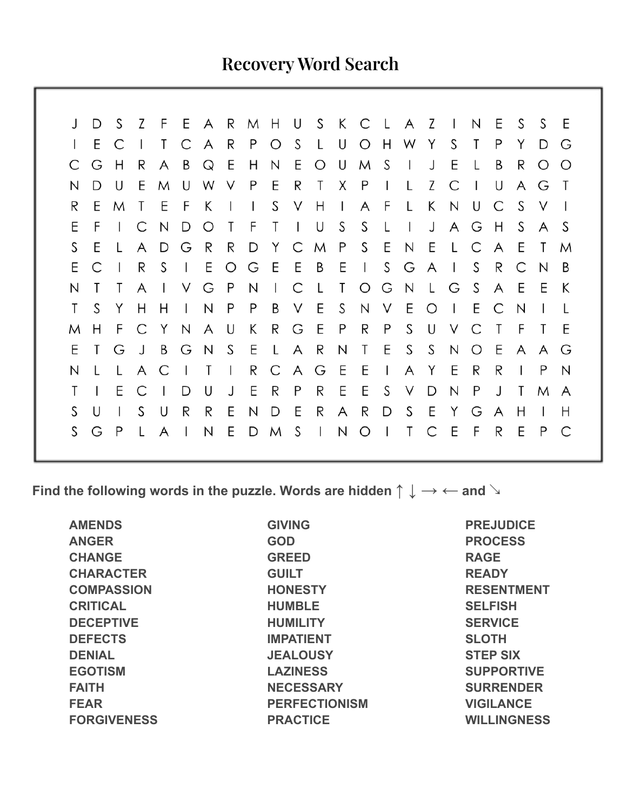D S Ζ F Ε  $R$ M  $H$ U S K C  $\mathsf{L}$ A Z  $\overline{1}$  $N$ E S S Ε J  $\mathsf{A}$ Ε  $\mathsf{C}$  ${\sf R}$  $\bigcirc$ O H  $\sf T$ G C  $\mathbf{L}$ T  $\mathsf{A}$ P S L U W Y S P Y D  $\mathbf{I}$ G H H N E O  $\cup$  $M S$  $\mathsf E$  $R$  $\bigcirc$ С  $\mathsf Q$  $\mathsf J$ L  $\circ$ R A  $\overline{B}$ E  $\Box$ Β  $\mathsf{Z}$  $\mathsf{C}$ N D U  $\mathsf E$ M U W V P  $E$  $\mathsf{R}$  $\top$ X  $P \mid$ L  $\overline{\phantom{a}}$ U A G  $\mathsf{T}$ S V H  $\mathsf{L}$ K  $N$  $\sf U$  $\mathsf{C}$ S E E К  $\perp$  $\Box$ A  $-F$  $\top$  $F$  $\vee$  $\overline{\phantom{a}}$ R M N D  $\mathsf{C}$ O T F  $\mathsf T$  $\mathbf{I}$  $\cup$ S  $S L$  $\overline{\phantom{a}}$  $\mathsf J$ A G  $H$ S S E  $\mathsf F$  $\mathbf{L}$  $\overline{A}$ Y C M C A E T M S E A D G  $R$ R D  $P$ S E  $N$ E  $\perp$ L  $\mathsf{C}$ E O G E E B E  $\mathbf{L}$  $\mathsf S$ G A  $S$ R C E  $\mathbb{R}$  $\overline{\phantom{a}}$  $R$ S  $\Box$ Β N  $C L$  $O$   $G$  $\vee$ G P  $\Box$  $\mathsf T$ N L G S A E E K  $\mathsf{T}$  $\mathsf{T}$  $\mathsf{A}$ N  $\mathbf{I}$  $\mathsf{N}$ B V E S N V  $E$  $O$  | E C N L T S Y H H N P P  $\Box$  $\mathbf{L}$ R G E P R P S U V  $\mathsf C$ M H F. C Y K  $T$  F E N A U Τ B G N S E L A R N T E S S N O E A A Ε T G J G A C I R C A G E E I A Y E R  $R \mid$ P  $\mathsf{N}$ N, L  $\lfloor$  $\mathsf{T}$  $\mathbf{L}$  $R$ P R E E S V D N ECID  $\cup$ J E  $P$ J T M A T  $\perp$ S R E A R D S E U  $\overline{\phantom{a}}$  $\mathsf S$ U R  $N$ D  $E$ R  $Y$ G A H  $\overline{\phantom{a}}$ H T C E S G P  $\overline{\mathsf{A}}$  $\mathbb{R}$ N E D M S I N O I  $\mathsf F$  $\mathsf E$  $\subset$ R P L

**Find the following words in the puzzle. Words are hidden ↑ ↓ → ← and** ↘

| <b>AMENDS</b>      | <b>GIVING</b>        | <b>PREJUDICE</b>   |
|--------------------|----------------------|--------------------|
| <b>ANGER</b>       | <b>GOD</b>           | <b>PROCESS</b>     |
| <b>CHANGE</b>      | <b>GREED</b>         | <b>RAGE</b>        |
| <b>CHARACTER</b>   | <b>GUILT</b>         | <b>READY</b>       |
| <b>COMPASSION</b>  | <b>HONESTY</b>       | <b>RESENTMENT</b>  |
| <b>CRITICAL</b>    | <b>HUMBLE</b>        | <b>SELFISH</b>     |
| <b>DECEPTIVE</b>   | <b>HUMILITY</b>      | <b>SERVICE</b>     |
| <b>DEFECTS</b>     | <b>IMPATIENT</b>     | <b>SLOTH</b>       |
| <b>DENIAL</b>      | <b>JEALOUSY</b>      | <b>STEP SIX</b>    |
| <b>EGOTISM</b>     | <b>LAZINESS</b>      | <b>SUPPORTIVE</b>  |
| <b>FAITH</b>       | <b>NECESSARY</b>     | <b>SURRENDER</b>   |
| <b>FEAR</b>        | <b>PERFECTIONISM</b> | <b>VIGILANCE</b>   |
| <b>FORGIVENESS</b> | <b>PRACTICE</b>      | <b>WILLINGNESS</b> |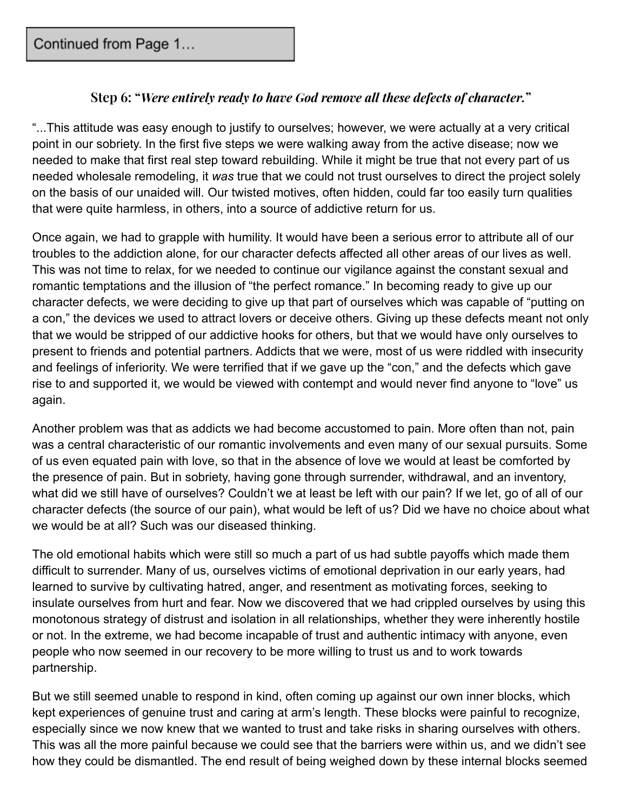Continued from Page 1...

#### **Step 6: "***Were entirely ready to have God remove all these defects of character.***"**

"...This attitude was easy enough to justify to ourselves; however, we were actually at a very critical point in our sobriety. In the first five steps we were walking away from the active disease; now we needed to make that first real step toward rebuilding. While it might be true that not every part of us needed wholesale remodeling, it *was* true that we could not trust ourselves to direct the project solely on the basis of our unaided will. Our twisted motives, often hidden, could far too easily turn qualities that were quite harmless, in others, into a source of addictive return for us.

Once again, we had to grapple with humility. It would have been a serious error to attribute all of our troubles to the addiction alone, for our character defects affected all other areas of our lives as well. This was not time to relax, for we needed to continue our vigilance against the constant sexual and romantic temptations and the illusion of "the perfect romance." In becoming ready to give up our character defects, we were deciding to give up that part of ourselves which was capable of "putting on a con," the devices we used to attract lovers or deceive others. Giving up these defects meant not only that we would be stripped of our addictive hooks for others, but that we would have only ourselves to present to friends and potential partners. Addicts that we were, most of us were riddled with insecurity and feelings of inferiority. We were terrified that if we gave up the "con," and the defects which gave rise to and supported it, we would be viewed with contempt and would never find anyone to "love" us again.

Another problem was that as addicts we had become accustomed to pain. More often than not, pain was a central characteristic of our romantic involvements and even many of our sexual pursuits. Some of us even equated pain with love, so that in the absence of love we would at least be comforted by the presence of pain. But in sobriety, having gone through surrender, withdrawal, and an inventory, what did we still have of ourselves? Couldn't we at least be left with our pain? If we let, go of all of our character defects (the source of our pain), what would be left of us? Did we have no choice about what we would be at all? Such was our diseased thinking.

The old emotional habits which were still so much a part of us had subtle payoffs which made them difficult to surrender. Many of us, ourselves victims of emotional deprivation in our early years, had learned to survive by cultivating hatred, anger, and resentment as motivating forces, seeking to insulate ourselves from hurt and fear. Now we discovered that we had crippled ourselves by using this monotonous strategy of distrust and isolation in all relationships, whether they were inherently hostile or not. In the extreme, we had become incapable of trust and authentic intimacy with anyone, even people who now seemed in our recovery to be more willing to trust us and to work towards partnership.

But we still seemed unable to respond in kind, often coming up against our own inner blocks, which kept experiences of genuine trust and caring at arm's length. These blocks were painful to recognize, especially since we now knew that we wanted to trust and take risks in sharing ourselves with others. This was all the more painful because we could see that the barriers were within us, and we didn't see how they could be dismantled. The end result of being weighed down by these internal blocks seemed